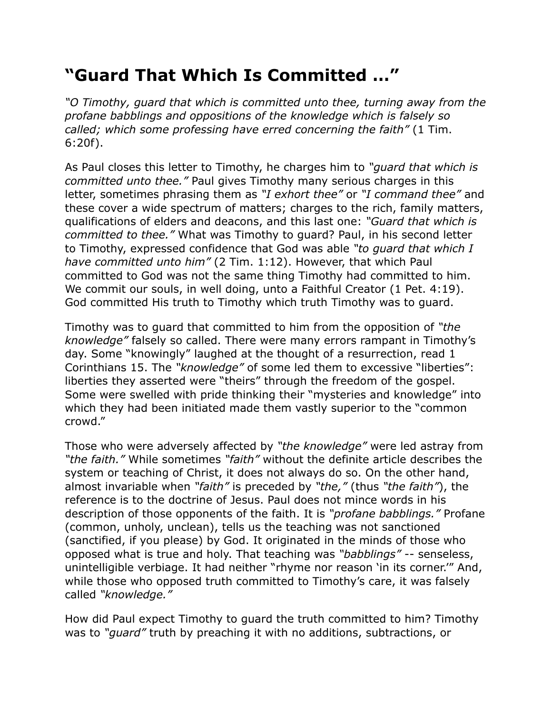## **"Guard That Which Is Committed …"**

*"O Timothy, guard that which is committed unto thee, turning away from the profane babblings and oppositions of the knowledge which is falsely so called; which some professing have erred concerning the faith"* (1 Tim. 6:20f).

As Paul closes this letter to Timothy, he charges him to *"guard that which is committed unto thee."* Paul gives Timothy many serious charges in this letter, sometimes phrasing them as *"I exhort thee"* or *"I command thee"* and these cover a wide spectrum of matters; charges to the rich, family matters, qualifications of elders and deacons, and this last one: *"Guard that which is committed to thee."* What was Timothy to guard? Paul, in his second letter to Timothy, expressed confidence that God was able *"to guard that which I have committed unto him"* (2 Tim. 1:12). However, that which Paul committed to God was not the same thing Timothy had committed to him. We commit our souls, in well doing, unto a Faithful Creator (1 Pet. 4:19). God committed His truth to Timothy which truth Timothy was to guard.

Timothy was to guard that committed to him from the opposition of *"the knowledge"* falsely so called. There were many errors rampant in Timothy's day. Some "knowingly" laughed at the thought of a resurrection, read 1 Corinthians 15. The *"knowledge"* of some led them to excessive "liberties": liberties they asserted were "theirs" through the freedom of the gospel. Some were swelled with pride thinking their "mysteries and knowledge" into which they had been initiated made them vastly superior to the "common crowd."

Those who were adversely affected by *"the knowledge"* were led astray from *"the faith."* While sometimes *"faith"* without the definite article describes the system or teaching of Christ, it does not always do so. On the other hand, almost invariable when *"faith"* is preceded by *"the,"* (thus *"the faith"*), the reference is to the doctrine of Jesus. Paul does not mince words in his description of those opponents of the faith. It is *"profane babblings."* Profane (common, unholy, unclean), tells us the teaching was not sanctioned (sanctified, if you please) by God. It originated in the minds of those who opposed what is true and holy. That teaching was *"babblings"* -- senseless, unintelligible verbiage. It had neither "rhyme nor reason 'in its corner.'" And, while those who opposed truth committed to Timothy's care, it was falsely called *"knowledge."*

How did Paul expect Timothy to guard the truth committed to him? Timothy was to *"guard"* truth by preaching it with no additions, subtractions, or